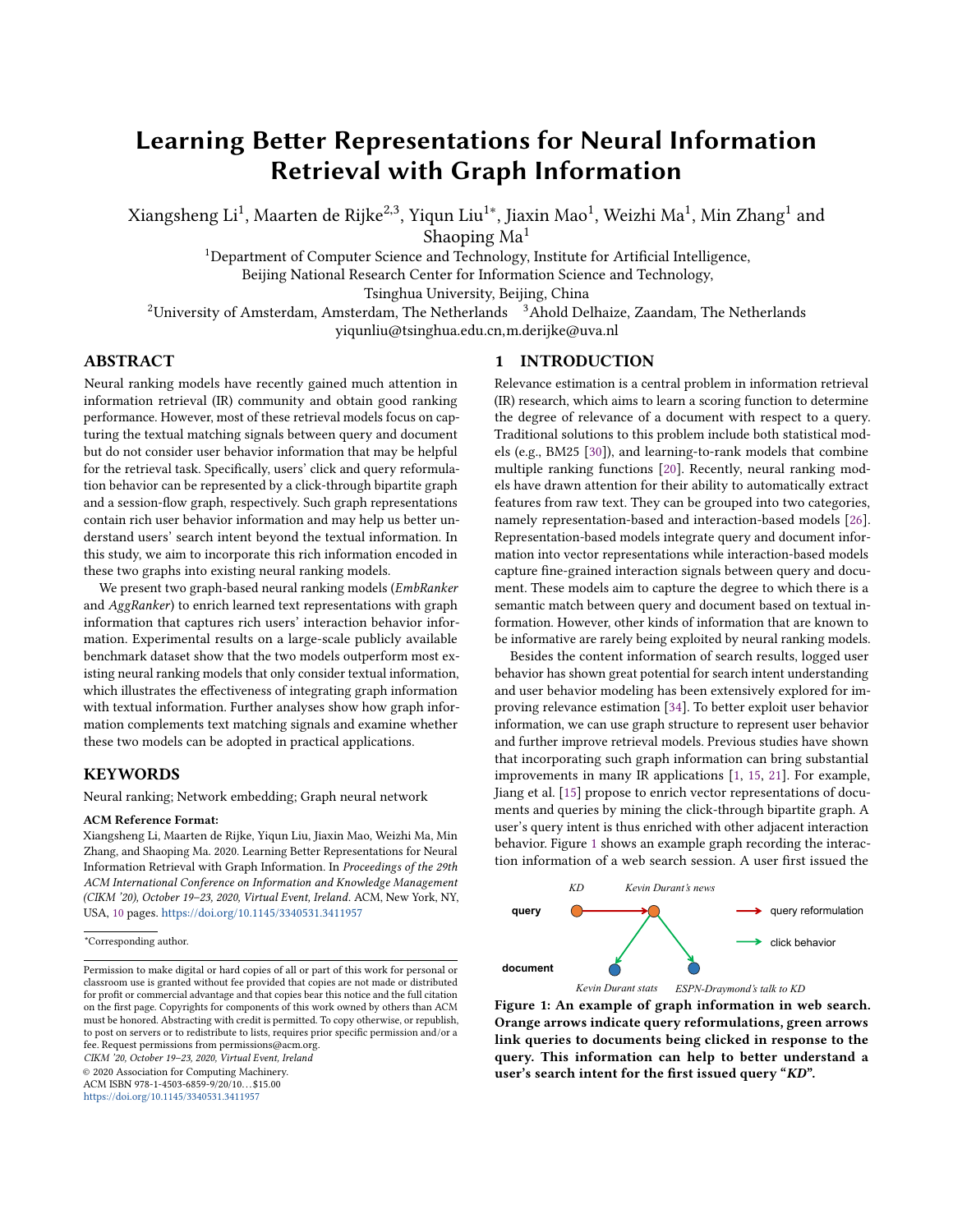# Learning Better Representations for Neural Information Retrieval with Graph Information

Xiangsheng Li $^1$ , Maarten de Rijke $^{2,3}$ , Yiqun Liu $^{1*}$ , Jiaxin Mao $^1$ , Weizhi Ma $^1$ , Min Zhang $^1$  and

Shaoping  $Ma<sup>1</sup>$ 

<sup>1</sup>Department of Computer Science and Technology, Institute for Artificial Intelligence,

Beijing National Research Center for Information Science and Technology,

Tsinghua University, Beijing, China

 $2$ University of Amsterdam, Amsterdam, The Netherlands  $3$ Ahold Delhaize, Zaandam, The Netherlands

yiqunliu@tsinghua.edu.cn,m.derijke@uva.nl

# ABSTRACT

[N](#page-0-0)eural ranking models have recently gained much attention in information retrieval (IR) community and obtain good ranking performance. However, most of these retrieval models focus on capturing the textual matching signals between query and document but do not consider user behavior information that may be helpful for the retrieval task. Specifically, users' click and query reformulation behavior can be represented by a click-through bipartite graph and a session-flow graph, respectively. Such graph representations contain rich user behavior information and may help us better understand users' search intent beyond the textual information. In this study, we aim to incorporate this rich information encoded in these two graphs into existing neural ranking models.

We present two graph-based neural ranking models (EmbRanker and AggRanker) to enrich learned text representations with graph information that captures rich users' interaction behavior information. Experimental results on a large-scale publicly available benchmark dataset show that the two models outperform most existing neural ranking models that only consider textual information, which illustrates the effectiveness of integrating graph information with textual information. Further analyses show how graph information complements text matching signals and examine whether these two models can be adopted in practical applications.

## **KEYWORDS**

Neural ranking; Network embedding; Graph neural network

#### ACM Reference Format:

Xiangsheng Li, Maarten de Rijke, Yiqun Liu, Jiaxin Mao, Weizhi Ma, Min Zhang, and Shaoping Ma. 2020. Learning Better Representations for Neural Information Retrieval with Graph Information. In Proceedings of the 29th ACM International Conference on Information and Knowledge Management (CIKM '20), October 19–23, 2020, Virtual Event, Ireland. ACM, New York, NY, USA, [10](#page-9-0) pages. <https://doi.org/10.1145/3340531.3411957>

CIKM '20, October 19–23, 2020, Virtual Event, Ireland

© 2020 Association for Computing Machinery.

ACM ISBN 978-1-4503-6859-9/20/10. . . \$15.00

<https://doi.org/10.1145/3340531.3411957>

# 1 INTRODUCTION

Relevance estimation is a central problem in information retrieval (IR) research, which aims to learn a scoring function to determine the degree of relevance of a document with respect to a query. Traditional solutions to this problem include both statistical models (e.g., BM25 [\[30\]](#page-9-1)), and learning-to-rank models that combine multiple ranking functions [\[20\]](#page-9-2). Recently, neural ranking models have drawn attention for their ability to automatically extract features from raw text. They can be grouped into two categories, namely representation-based and interaction-based models [\[26\]](#page-9-3). Representation-based models integrate query and document information into vector representations while interaction-based models capture fine-grained interaction signals between query and document. These models aim to capture the degree to which there is a semantic match between query and document based on textual information. However, other kinds of information that are known to be informative are rarely being exploited by neural ranking models.

Besides the content information of search results, logged user behavior has shown great potential for search intent understanding and user behavior modeling has been extensively explored for improving relevance estimation [\[34\]](#page-9-4). To better exploit user behavior information, we can use graph structure to represent user behavior and further improve retrieval models. Previous studies have shown that incorporating such graph information can bring substantial improvements in many IR applications [\[1,](#page-9-5) [15,](#page-9-6) [21\]](#page-9-7). For example, Jiang et al. [\[15\]](#page-9-6) propose to enrich vector representations of documents and queries by mining the click-through bipartite graph. A user's query intent is thus enriched with other adjacent interaction behavior. Figure [1](#page-0-1) shows an example graph recording the interaction information of a web search session. A user first issued the

<span id="page-0-1"></span>

*Kevin Durant stats ESPN-Draymond's talk to KD*

Figure 1: An example of graph information in web search. Orange arrows indicate query reformulations, green arrows link queries to documents being clicked in response to the query. This information can help to better understand a user's search intent for the first issued query "KD".

<span id="page-0-0"></span><sup>\*</sup>Corresponding author.

Permission to make digital or hard copies of all or part of this work for personal or classroom use is granted without fee provided that copies are not made or distributed for profit or commercial advantage and that copies bear this notice and the full citation on the first page. Copyrights for components of this work owned by others than ACM must be honored. Abstracting with credit is permitted. To copy otherwise, or republish, to post on servers or to redistribute to lists, requires prior specific permission and/or a fee. Request permissions from permissions@acm.org.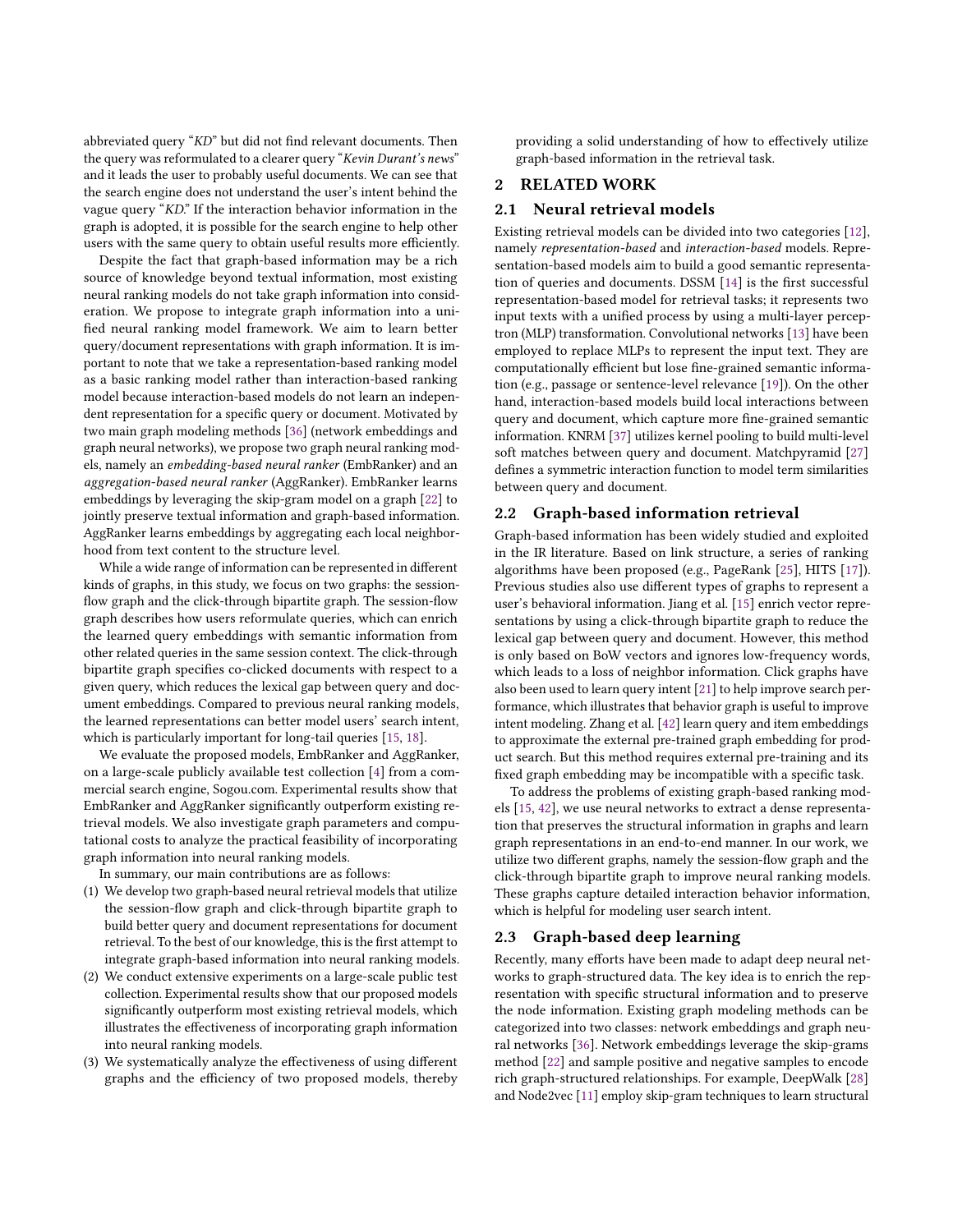abbreviated query "KD" but did not find relevant documents. Then the query was reformulated to a clearer query "Kevin Durant's news" and it leads the user to probably useful documents. We can see that the search engine does not understand the user's intent behind the vague query "KD." If the interaction behavior information in the graph is adopted, it is possible for the search engine to help other users with the same query to obtain useful results more efficiently.

Despite the fact that graph-based information may be a rich source of knowledge beyond textual information, most existing neural ranking models do not take graph information into consideration. We propose to integrate graph information into a unified neural ranking model framework. We aim to learn better query/document representations with graph information. It is important to note that we take a representation-based ranking model as a basic ranking model rather than interaction-based ranking model because interaction-based models do not learn an independent representation for a specific query or document. Motivated by two main graph modeling methods [\[36\]](#page-9-8) (network embeddings and graph neural networks), we propose two graph neural ranking models, namely an embedding-based neural ranker (EmbRanker) and an aggregation-based neural ranker (AggRanker). EmbRanker learns embeddings by leveraging the skip-gram model on a graph [\[22\]](#page-9-9) to jointly preserve textual information and graph-based information. AggRanker learns embeddings by aggregating each local neighborhood from text content to the structure level.

While a wide range of information can be represented in different kinds of graphs, in this study, we focus on two graphs: the sessionflow graph and the click-through bipartite graph. The session-flow graph describes how users reformulate queries, which can enrich the learned query embeddings with semantic information from other related queries in the same session context. The click-through bipartite graph specifies co-clicked documents with respect to a given query, which reduces the lexical gap between query and document embeddings. Compared to previous neural ranking models, the learned representations can better model users' search intent, which is particularly important for long-tail queries [\[15,](#page-9-6) [18\]](#page-9-10).

We evaluate the proposed models, EmbRanker and AggRanker, on a large-scale publicly available test collection [\[4\]](#page-9-11) from a commercial search engine, Sogou.com. Experimental results show that EmbRanker and AggRanker significantly outperform existing retrieval models. We also investigate graph parameters and computational costs to analyze the practical feasibility of incorporating graph information into neural ranking models.

In summary, our main contributions are as follows:

- (1) We develop two graph-based neural retrieval models that utilize the session-flow graph and click-through bipartite graph to build better query and document representations for document retrieval. To the best of our knowledge, this is the first attempt to integrate graph-based information into neural ranking models.
- (2) We conduct extensive experiments on a large-scale public test collection. Experimental results show that our proposed models significantly outperform most existing retrieval models, which illustrates the effectiveness of incorporating graph information into neural ranking models.
- (3) We systematically analyze the effectiveness of using different graphs and the efficiency of two proposed models, thereby

providing a solid understanding of how to effectively utilize graph-based information in the retrieval task.

# 2 RELATED WORK

# 2.1 Neural retrieval models

Existing retrieval models can be divided into two categories [\[12\]](#page-9-12), namely representation-based and interaction-based models. Representation-based models aim to build a good semantic representation of queries and documents. DSSM [\[14\]](#page-9-13) is the first successful representation-based model for retrieval tasks; it represents two input texts with a unified process by using a multi-layer perceptron (MLP) transformation. Convolutional networks [\[13\]](#page-9-14) have been employed to replace MLPs to represent the input text. They are computationally efficient but lose fine-grained semantic information (e.g., passage or sentence-level relevance [\[19\]](#page-9-15)). On the other hand, interaction-based models build local interactions between query and document, which capture more fine-grained semantic information. KNRM [\[37\]](#page-9-16) utilizes kernel pooling to build multi-level soft matches between query and document. Matchpyramid [\[27\]](#page-9-17) defines a symmetric interaction function to model term similarities between query and document.

### <span id="page-1-0"></span>2.2 Graph-based information retrieval

Graph-based information has been widely studied and exploited in the IR literature. Based on link structure, a series of ranking algorithms have been proposed (e.g., PageRank [\[25\]](#page-9-18), HITS [\[17\]](#page-9-19)). Previous studies also use different types of graphs to represent a user's behavioral information. Jiang et al. [\[15\]](#page-9-6) enrich vector representations by using a click-through bipartite graph to reduce the lexical gap between query and document. However, this method is only based on BoW vectors and ignores low-frequency words, which leads to a loss of neighbor information. Click graphs have also been used to learn query intent [\[21\]](#page-9-7) to help improve search performance, which illustrates that behavior graph is useful to improve intent modeling. Zhang et al. [\[42\]](#page-9-20) learn query and item embeddings to approximate the external pre-trained graph embedding for product search. But this method requires external pre-training and its fixed graph embedding may be incompatible with a specific task.

To address the problems of existing graph-based ranking models [\[15,](#page-9-6) [42\]](#page-9-20), we use neural networks to extract a dense representation that preserves the structural information in graphs and learn graph representations in an end-to-end manner. In our work, we utilize two different graphs, namely the session-flow graph and the click-through bipartite graph to improve neural ranking models. These graphs capture detailed interaction behavior information, which is helpful for modeling user search intent.

## 2.3 Graph-based deep learning

Recently, many efforts have been made to adapt deep neural networks to graph-structured data. The key idea is to enrich the representation with specific structural information and to preserve the node information. Existing graph modeling methods can be categorized into two classes: network embeddings and graph neural networks [\[36\]](#page-9-8). Network embeddings leverage the skip-grams method [\[22\]](#page-9-9) and sample positive and negative samples to encode rich graph-structured relationships. For example, DeepWalk [\[28\]](#page-9-21) and Node2vec [\[11\]](#page-9-22) employ skip-gram techniques to learn structural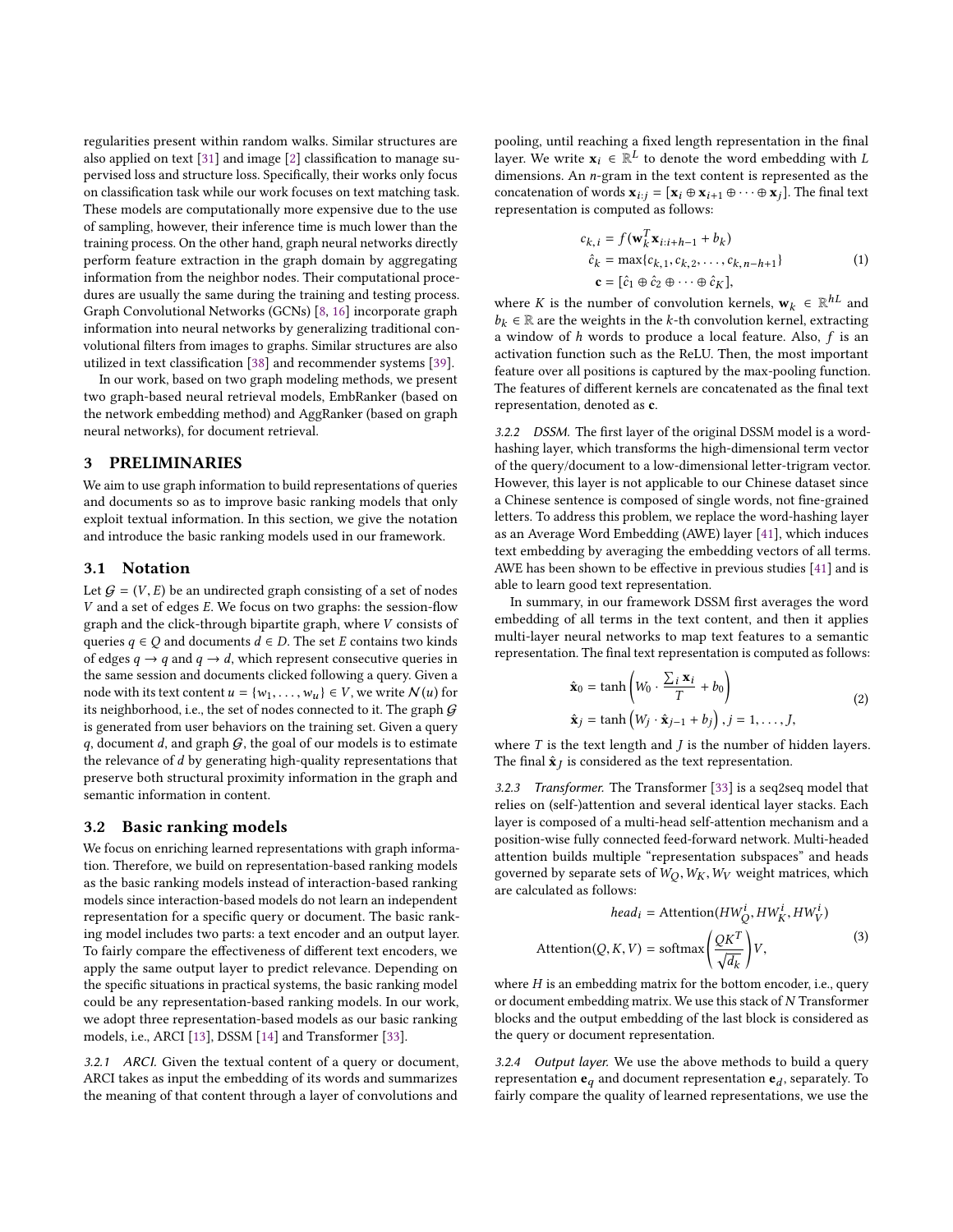regularities present within random walks. Similar structures are also applied on text [\[31\]](#page-9-23) and image [\[2\]](#page-9-24) classification to manage supervised loss and structure loss. Specifically, their works only focus on classification task while our work focuses on text matching task. These models are computationally more expensive due to the use of sampling, however, their inference time is much lower than the training process. On the other hand, graph neural networks directly perform feature extraction in the graph domain by aggregating information from the neighbor nodes. Their computational procedures are usually the same during the training and testing process. Graph Convolutional Networks (GCNs) [\[8,](#page-9-25) [16\]](#page-9-26) incorporate graph information into neural networks by generalizing traditional convolutional filters from images to graphs. Similar structures are also utilized in text classification [\[38\]](#page-9-27) and recommender systems [\[39\]](#page-9-28).

In our work, based on two graph modeling methods, we present two graph-based neural retrieval models, EmbRanker (based on the network embedding method) and AggRanker (based on graph neural networks), for document retrieval.

## 3 PRELIMINARIES

We aim to use graph information to build representations of queries and documents so as to improve basic ranking models that only exploit textual information. In this section, we give the notation and introduce the basic ranking models used in our framework.

## 3.1 Notation

Let  $G = (V, E)$  be an undirected graph consisting of a set of nodes V and a set of edges E. We focus on two graphs: the session-flow graph and the click-through bipartite graph, where V consists of queries  $q \in Q$  and documents  $d \in D$ . The set E contains two kinds of edges  $q \rightarrow q$  and  $q \rightarrow d$ , which represent consecutive queries in the same session and documents clicked following a query. Given a node with its text content  $u = \{w_1, \ldots, w_u\} \in V$ , we write  $\mathcal{N}(u)$  for its neighborhood, i.e., the set of nodes connected to it. The graph  $G$ is generated from user behaviors on the training set. Given a query q, document d, and graph  $G$ , the goal of our models is to estimate the relevance of d by generating high-quality representations that preserve both structural proximity information in the graph and semantic information in content.

#### <span id="page-2-0"></span>3.2 Basic ranking models

We focus on enriching learned representations with graph information. Therefore, we build on representation-based ranking models as the basic ranking models instead of interaction-based ranking models since interaction-based models do not learn an independent representation for a specific query or document. The basic ranking model includes two parts: a text encoder and an output layer. To fairly compare the effectiveness of different text encoders, we apply the same output layer to predict relevance. Depending on the specific situations in practical systems, the basic ranking model could be any representation-based ranking models. In our work, we adopt three representation-based models as our basic ranking models, i.e., ARCI [\[13\]](#page-9-14), DSSM [\[14\]](#page-9-13) and Transformer [\[33\]](#page-9-29).

3.2.1 ARCI. Given the textual content of a query or document, ARCI takes as input the embedding of its words and summarizes the meaning of that content through a layer of convolutions and

pooling, until reaching a fixed length representation in the final layer. We write  $\mathbf{x}_i \in \mathbb{R}^L$  to denote the word embedding with L dimensions. An n-gram in the text content is represented as the dimensions. An n-gram in the text content is represented as the concatenation of words  $\mathbf{x}_{i:j} = [\mathbf{x}_i \oplus \mathbf{x}_{i+1} \oplus \cdots \oplus \mathbf{x}_j]$ . The final text representation is computed as follows:

$$
c_{k,i} = f(\mathbf{w}_k^T \mathbf{x}_{i:i+h-1} + b_k)
$$
  
\n
$$
\hat{c}_k = \max\{c_{k,1}, c_{k,2}, \dots, c_{k,n-h+1}\}
$$
  
\n
$$
\mathbf{c} = [\hat{c}_1 \oplus \hat{c}_2 \oplus \dots \oplus \hat{c}_K],
$$
  
\n(1)

where K is the number of convolution kernels,  $\mathbf{w}_k \in \mathbb{R}^{hL}$  and  $h_i \in \mathbb{R}$  are the weights in the k-th convolution kernel extracting  $b_k \in \mathbb{R}$  are the weights in the k-th convolution kernel, extracting a window of  $h$  words to produce a local feature. Also,  $f$  is an activation function such as the ReLU. Then, the most important feature over all positions is captured by the max-pooling function. The features of different kernels are concatenated as the final text representation, denoted as c.

3.2.2 DSSM. The first layer of the original DSSM model is a wordhashing layer, which transforms the high-dimensional term vector of the query/document to a low-dimensional letter-trigram vector. However, this layer is not applicable to our Chinese dataset since a Chinese sentence is composed of single words, not fine-grained letters. To address this problem, we replace the word-hashing layer as an Average Word Embedding (AWE) layer [\[41\]](#page-9-30), which induces text embedding by averaging the embedding vectors of all terms. AWE has been shown to be effective in previous studies [\[41\]](#page-9-30) and is able to learn good text representation.

In summary, in our framework DSSM first averages the word embedding of all terms in the text content, and then it applies multi-layer neural networks to map text features to a semantic representation. The final text representation is computed as follows:

$$
\hat{\mathbf{x}}_0 = \tanh\left(W_0 \cdot \frac{\sum_i \mathbf{x}_i}{T} + b_0\right)
$$
  
\n
$$
\hat{\mathbf{x}}_j = \tanh\left(W_j \cdot \hat{\mathbf{x}}_{j-1} + b_j\right), j = 1, \dots, J,
$$
\n(2)

where T is the text length and J is the number of hidden layers.<br>The final  $\hat{\mathbf{x}}_i$  is considered as the text representation The final  $\hat{\textbf{x}}_J$  is considered as the text representation.

3.2.3 Transformer. The Transformer [\[33\]](#page-9-29) is a seq2seq model that relies on (self-)attention and several identical layer stacks. Each layer is composed of a multi-head self-attention mechanism and a position-wise fully connected feed-forward network. Multi-headed attention builds multiple "representation subspaces" and heads governed by separate sets of  $W_O$ ,  $W_K$ ,  $W_V$  weight matrices, which are calculated as follows:

$$
head_i = \text{Attention}(HW_Q^1, HW_K^1, HW_V^1)
$$
\n
$$
\text{Attention}(Q, K, V) = \text{softmax}\left(\frac{QK^T}{\sqrt{d_k}}\right)V,\tag{3}
$$

where  $H$  is an embedding matrix for the bottom encoder, i.e., query<br>or document embedding matrix. We use this stack of  $N$  Transformer or document embedding matrix. We use this stack of N Transformer blocks and the output embedding of the last block is considered as the query or document representation.

3.2.4 Output layer. We use the above methods to build a query representation  $\mathbf{e}_q$  and document representation  $\mathbf{e}_d$ , separately. To fairly compare the quality of learned representations, we use the fairly compare the quality of learned representations, we use the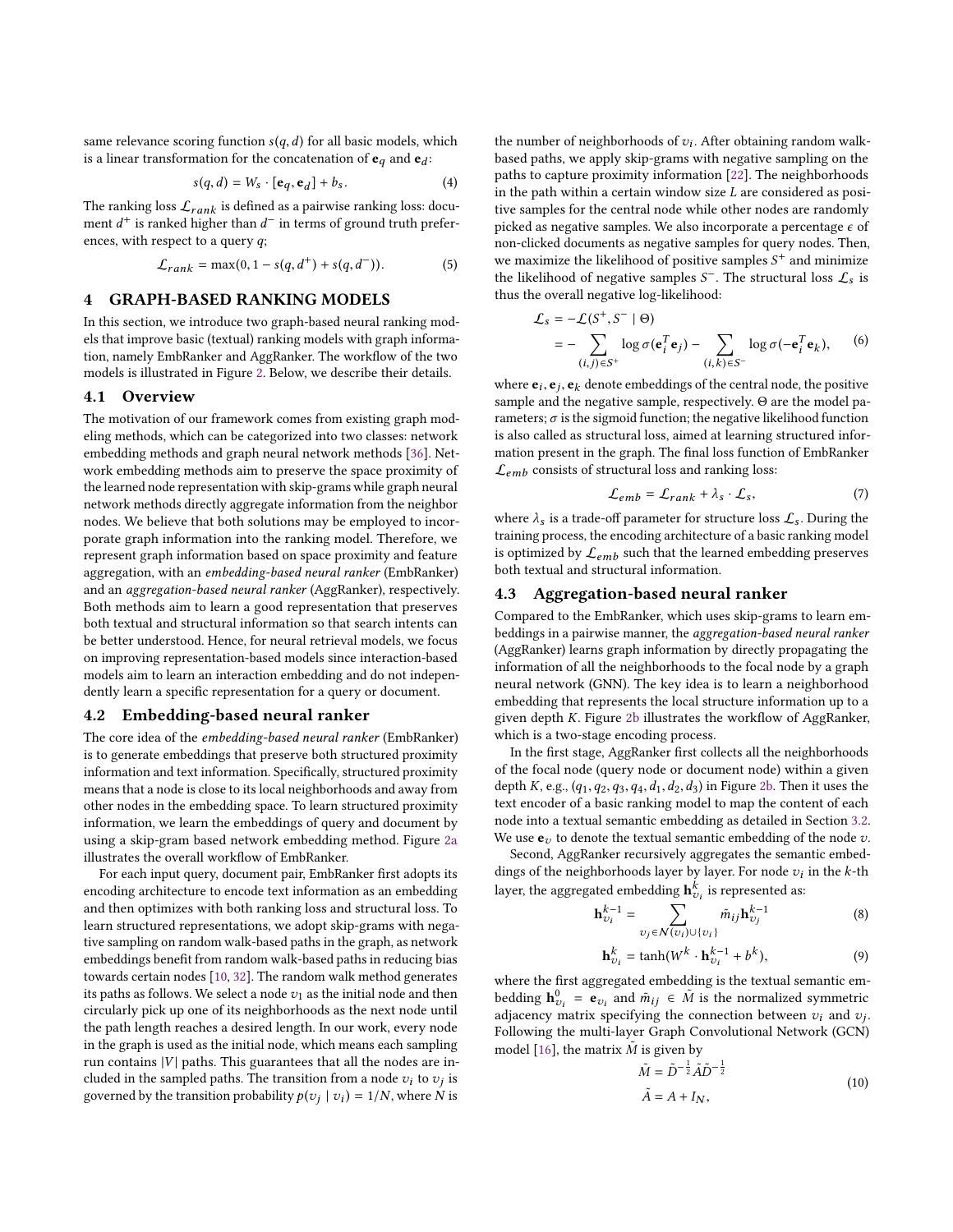same relevance scoring function  $s(q, d)$  for all basic models, which is a linear transformation for the concatenation of  $\mathbf{e}_q$  and  $\mathbf{e}_d$ :

<span id="page-3-0"></span>
$$
s(q, d) = W_s \cdot [\mathbf{e}_q, \mathbf{e}_d] + b_s. \tag{4}
$$

The ranking loss  $\mathcal{L}_{rank}$  is defined as a pairwise ranking loss: docu-<br>ment  $d^+$  is ranked bigher than  $d^-$  in terms of ground truth preferment  $d^+$  is ranked higher than  $d^-$  in terms of ground truth preferences, with respect to a query q;

$$
\mathcal{L}_{rank} = \max(0, 1 - s(q, d^{+}) + s(q, d^{-})). \tag{5}
$$

# 4 GRAPH-BASED RANKING MODELS

In this section, we introduce two graph-based neural ranking models that improve basic (textual) ranking models with graph information, namely EmbRanker and AggRanker. The workflow of the two models is illustrated in Figure [2.](#page-4-0) Below, we describe their details.

#### 4.1 Overview

The motivation of our framework comes from existing graph modeling methods, which can be categorized into two classes: network embedding methods and graph neural network methods [\[36\]](#page-9-8). Network embedding methods aim to preserve the space proximity of the learned node representation with skip-grams while graph neural network methods directly aggregate information from the neighbor nodes. We believe that both solutions may be employed to incorporate graph information into the ranking model. Therefore, we represent graph information based on space proximity and feature aggregation, with an embedding-based neural ranker (EmbRanker) and an aggregation-based neural ranker (AggRanker), respectively. Both methods aim to learn a good representation that preserves both textual and structural information so that search intents can be better understood. Hence, for neural retrieval models, we focus on improving representation-based models since interaction-based models aim to learn an interaction embedding and do not independently learn a specific representation for a query or document.

#### 4.2 Embedding-based neural ranker

The core idea of the embedding-based neural ranker (EmbRanker) is to generate embeddings that preserve both structured proximity information and text information. Specifically, structured proximity means that a node is close to its local neighborhoods and away from other nodes in the embedding space. To learn structured proximity information, we learn the embeddings of query and document by using a skip-gram based network embedding method. Figure [2a](#page-4-1) illustrates the overall workflow of EmbRanker.

For each input query, document pair, EmbRanker first adopts its encoding architecture to encode text information as an embedding and then optimizes with both ranking loss and structural loss. To learn structured representations, we adopt skip-grams with negative sampling on random walk-based paths in the graph, as network embeddings benefit from random walk-based paths in reducing bias towards certain nodes [\[10,](#page-9-31) [32\]](#page-9-32). The random walk method generates its paths as follows. We select a node  $v_1$  as the initial node and then circularly pick up one of its neighborhoods as the next node until the path length reaches a desired length. In our work, every node in the graph is used as the initial node, which means each sampling run contains  $|V|$  paths. This guarantees that all the nodes are included in the sampled paths. The transition from a node  $v_i$  to  $v_j$  is<br>governed by the transition probability  $p(z_1, |z_1\rangle) = 1/N$  where N is governed by the transition probability  $p(v_j | v_i) = 1/N$ , where N is

the number of neighborhoods of  $v_i$ . After obtaining random walk-<br>based paths, we apply skip-grams with peoptive sampling on the based paths, we apply skip-grams with negative sampling on the paths to capture proximity information [\[22\]](#page-9-9). The neighborhoods in the path within a certain window size  $L$  are considered as positive samples for the central node while other nodes are randomly picked as negative samples. We also incorporate a percentage  $\epsilon$  of non-clicked documents as negative samples for query nodes. Then, we maximize the likelihood of positive samples  $S^+$  and minimize<br>the likelihood of negative samples  $S^-$ . The structural loss  $f$  is the likelihood of negative samples  $S^-$ . The structural loss  $\mathcal{L}_s$  is thus the overall negative log-likelihood: thus the overall negative log-likelihood:

<span id="page-3-1"></span>
$$
\mathcal{L}_s = -\mathcal{L}(S^+, S^- \mid \Theta)
$$
  
= 
$$
-\sum_{(i,j) \in S^+} \log \sigma(\mathbf{e}_i^T \mathbf{e}_j) - \sum_{(i,k) \in S^-} \log \sigma(-\mathbf{e}_i^T \mathbf{e}_k),
$$
 (6)

where  $e_i, e_j, e_k$  denote embeddings of the central node, the positive<br>sample and the negative sample, respectively. O are the model pasample and the negative sample, respectively. Θ are the model parameters;  $\sigma$  is the sigmoid function; the negative likelihood function is also called as structural loss, aimed at learning structured information present in the graph. The final loss function of EmbRanker  $\mathcal{L}_{emb}$  consists of structural loss and ranking loss:

$$
\mathcal{L}_{emb} = \mathcal{L}_{rank} + \lambda_s \cdot \mathcal{L}_s, \tag{7}
$$

where  $\lambda_s$  is a trade-off parameter for structure loss  $\mathcal{L}_s$ . During the training process, the encoding architecture of a basic ranking model is optimized by  $\mathcal{L}_{emb}$  such that the learned embedding preserves both textual and structural information.

#### 4.3 Aggregation-based neural ranker

Compared to the EmbRanker, which uses skip-grams to learn embeddings in a pairwise manner, the aggregation-based neural ranker (AggRanker) learns graph information by directly propagating the information of all the neighborhoods to the focal node by a graph neural network (GNN). The key idea is to learn a neighborhood embedding that represents the local structure information up to a given depth K. Figure [2b](#page-4-2) illustrates the workflow of AggRanker, which is a two-stage encoding process.

In the first stage, AggRanker first collects all the neighborhoods of the focal node (query node or document node) within a given depth K, e.g.,  $(q_1, q_2, q_3, q_4, d_1, d_2, d_3)$  in Figure [2b.](#page-4-2) Then it uses the text encoder of a basic ranking model to map the content of each node into a textual semantic embedding as detailed in Section [3.2.](#page-2-0) We use  $e_v$  to denote the textual semantic embedding of the node v.

Second, AggRanker recursively aggregates the semantic embeddings of the neighborhoods layer by layer. For node  $v_i$  in the k-th<br>layer, the expressed embedding  $\mathbf{h}^k$ , is represented as layer, the aggregated embedding  $\mathbf{h}_{v_i}^k$  is represented as:

$$
\mathbf{h}_{\upsilon_i}^{k-1} = \sum_{\upsilon_j \in \mathcal{N}(\upsilon_i) \cup \{\upsilon_i\}} \tilde{m}_{ij} \mathbf{h}_{\upsilon_j}^{k-1}
$$
(8)

$$
\mathbf{h}_{v_i}^k = \tanh(W^k \cdot \mathbf{h}_{v_i}^{k-1} + b^k),\tag{9}
$$

where the first aggregated embedding is the textual semantic embedding  $\mathbf{h}_{v_i}^0 = \mathbf{e}_{v_i}$  and  $\tilde{m}_{ij} \in \tilde{M}$  is the normalized symmetric adjacency matrix englishing the connection between zu and zu between  $u_{0i}$  and  $u_{ij}$  is the connection between  $v_i$  and  $v_j$ .<br>
Enllowing the multi-layer Graph Convolutional Network (GCN) Following the multi-layer Graph Convolutional Network (GCN) model [\[16\]](#page-9-26), the matrix  $\tilde{M}$  is given by

$$
\tilde{M} = \tilde{D}^{-\frac{1}{2}} \tilde{A} \tilde{D}^{-\frac{1}{2}} \n\tilde{A} = A + I_N,
$$
\n(10)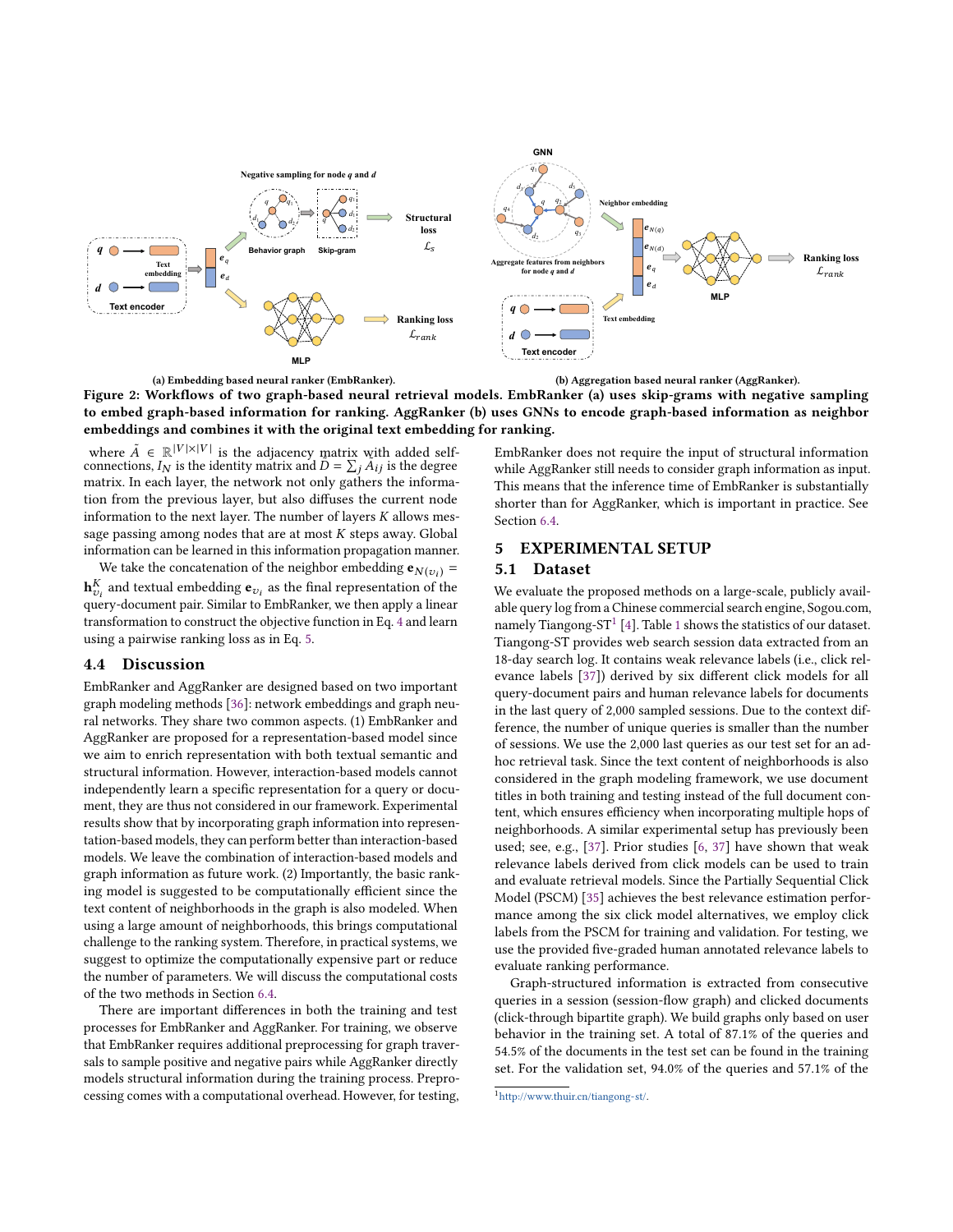<span id="page-4-1"></span><span id="page-4-0"></span>



<span id="page-4-2"></span>(b) Aggregation based neural ranker (AggRanker).

Figure 2: Workflows of two graph-based neural retrieval models. EmbRanker (a) uses skip-grams with negative sampling to embed graph-based information for ranking. AggRanker (b) uses GNNs to encode graph-based information as neighbor embeddings and combines it with the original text embedding for ranking.

where  $\tilde{A} \in \mathbb{R}^{|V| \times |V|}$  is the adjacency matrix with added self-<br>connections,  $I_N$  is the identity matrix and  $\tilde{D} = \sum_j \tilde{A}_{ij}$  is the degree<br>matrix. In each layer, the network not only gathers the informamatrix. In each layer, the network not only gathers the information from the previous layer, but also diffuses the current node information to the next layer. The number of layers  $K$  allows message passing among nodes that are at most  $K$  steps away. Global information can be learned in this information propagation manner.

We take the concatenation of the neighbor embedding  $e_{N(v_i)} =$  $\mathbf{h}_{\nu_i}^{\kappa}$  and textual embedding  $\mathbf{e}_{\nu_i}$  as the final representation of the approximation of the space of the space of the space of the space of the space of the space of the space of the space of the space of  $\mathbf{w}_{v_i}$  and textual embedding  $\mathbf{v}_{v_i}$  as the final representation of the query-document pair. Similar to EmbRanker, we then apply a linear transformation to construct the objective function in Eq. [4](#page-3-0) and learn using a pairwise ranking loss as in Eq. [5.](#page-3-1)

# 4.4 Discussion

EmbRanker and AggRanker are designed based on two important graph modeling methods [\[36\]](#page-9-8): network embeddings and graph neural networks. They share two common aspects. (1) EmbRanker and AggRanker are proposed for a representation-based model since we aim to enrich representation with both textual semantic and structural information. However, interaction-based models cannot independently learn a specific representation for a query or document, they are thus not considered in our framework. Experimental results show that by incorporating graph information into representation-based models, they can perform better than interaction-based models. We leave the combination of interaction-based models and graph information as future work. (2) Importantly, the basic ranking model is suggested to be computationally efficient since the text content of neighborhoods in the graph is also modeled. When using a large amount of neighborhoods, this brings computational challenge to the ranking system. Therefore, in practical systems, we suggest to optimize the computationally expensive part or reduce the number of parameters. We will discuss the computational costs of the two methods in Section [6.4.](#page-8-0)

There are important differences in both the training and test processes for EmbRanker and AggRanker. For training, we observe that EmbRanker requires additional preprocessing for graph traversals to sample positive and negative pairs while AggRanker directly models structural information during the training process. Preprocessing comes with a computational overhead. However, for testing, EmbRanker does not require the input of structural information while AggRanker still needs to consider graph information as input. This means that the inference time of EmbRanker is substantially shorter than for AggRanker, which is important in practice. See Section [6.4.](#page-8-0)

# 5 EXPERIMENTAL SETUP

# 5.1 Dataset

We evaluate the proposed methods on a large-scale, publicly available query log from a Chinese commercial search engine, Sogou.com, namely Tiangong-ST $^1$  $^1$  [\[4\]](#page-9-11). Table 1 shows the statistics of our dataset. Tiangong-ST provides web search session data extracted from an 18-day search log. It contains weak relevance labels (i.e., click relevance labels [\[37\]](#page-9-16)) derived by six different click models for all query-document pairs and human relevance labels for documents in the last query of 2,000 sampled sessions. Due to the context difference, the number of unique queries is smaller than the number of sessions. We use the 2,000 last queries as our test set for an adhoc retrieval task. Since the text content of neighborhoods is also considered in the graph modeling framework, we use document titles in both training and testing instead of the full document content, which ensures efficiency when incorporating multiple hops of neighborhoods. A similar experimental setup has previously been used; see, e.g., [\[37\]](#page-9-16). Prior studies [\[6,](#page-9-33) [37\]](#page-9-16) have shown that weak relevance labels derived from click models can be used to train and evaluate retrieval models. Since the Partially Sequential Click Model (PSCM) [\[35\]](#page-9-34) achieves the best relevance estimation performance among the six click model alternatives, we employ click labels from the PSCM for training and validation. For testing, we use the provided five-graded human annotated relevance labels to evaluate ranking performance.

Graph-structured information is extracted from consecutive queries in a session (session-flow graph) and clicked documents (click-through bipartite graph). We build graphs only based on user behavior in the training set. A total of 87.1% of the queries and 54.5% of the documents in the test set can be found in the training set. For the validation set, 94.0% of the queries and 57.1% of the

<span id="page-4-3"></span><sup>1</sup>[http://www.thuir.cn/tiangong-st/.](http://www.thuir.cn/tiangong-st/)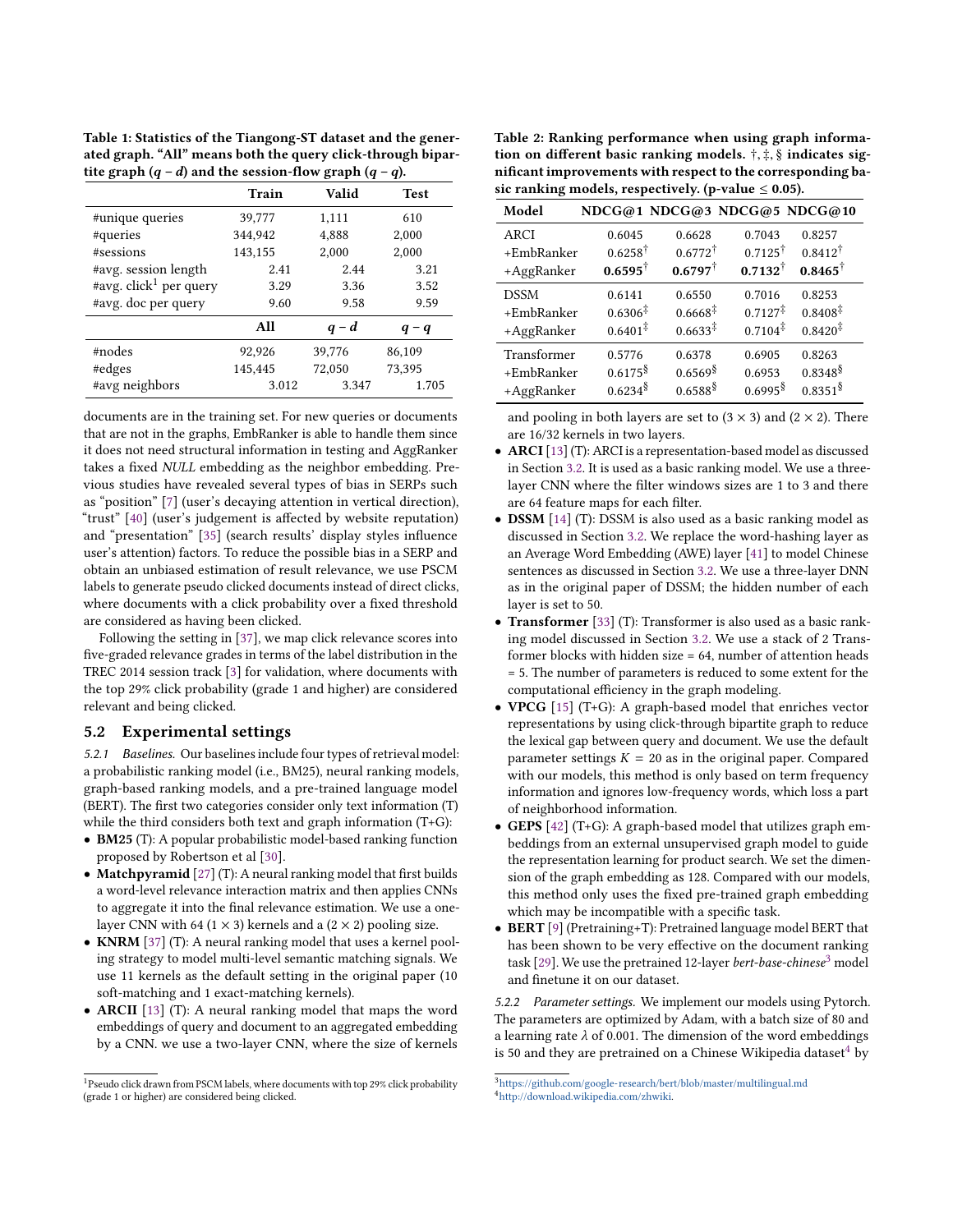<span id="page-5-0"></span>Table 1: Statistics of the Tiangong-ST dataset and the generated graph. "All" means both the query click-through bipartite graph  $(q - d)$  and the session-flow graph  $(q - q)$ .

|                                    | Train   | Valid  | <b>Test</b> |
|------------------------------------|---------|--------|-------------|
| #unique queries                    | 39,777  | 1,111  | 610         |
| #queries                           | 344,942 | 4,888  | 2,000       |
| #sessions                          | 143,155 | 2.000  | 2,000       |
| #avg. session length               | 2.41    | 2.44   | 3.21        |
| #avg. click <sup>1</sup> per query | 3.29    | 3.36   | 3.52        |
| #avg. doc per query                | 9.60    | 9.58   | 9.59        |
|                                    | All     | $q-d$  | $q - q$     |
| #nodes                             | 92,926  | 39.776 | 86,109      |
| #edges                             | 145,445 | 72,050 | 73,395      |
| #avg neighbors                     | 3.012   | 3.347  | 1.705       |

documents are in the training set. For new queries or documents that are not in the graphs, EmbRanker is able to handle them since it does not need structural information in testing and AggRanker takes a fixed NULL embedding as the neighbor embedding. Previous studies have revealed several types of bias in SERPs such as "position" [\[7\]](#page-9-35) (user's decaying attention in vertical direction), "trust" [\[40\]](#page-9-36) (user's judgement is affected by website reputation) and "presentation" [\[35\]](#page-9-34) (search results' display styles influence user's attention) factors. To reduce the possible bias in a SERP and obtain an unbiased estimation of result relevance, we use PSCM labels to generate pseudo clicked documents instead of direct clicks, where documents with a click probability over a fixed threshold are considered as having been clicked.

Following the setting in [\[37\]](#page-9-16), we map click relevance scores into five-graded relevance grades in terms of the label distribution in the TREC 2014 session track [\[3\]](#page-9-37) for validation, where documents with the top 29% click probability (grade 1 and higher) are considered relevant and being clicked.

#### 5.2 Experimental settings

5.2.1 Baselines. Our baselines include four types of retrieval model: a probabilistic ranking model (i.e., BM25), neural ranking models, graph-based ranking models, and a pre-trained language model (BERT). The first two categories consider only text information (T) while the third considers both text and graph information (T+G):

- BM25 (T): A popular probabilistic model-based ranking function proposed by Robertson et al [\[30\]](#page-9-1).
- Matchpyramid [\[27\]](#page-9-17) (T): A neural ranking model that first builds a word-level relevance interaction matrix and then applies CNNs to aggregate it into the final relevance estimation. We use a onelayer CNN with 64 (1  $\times$  3) kernels and a (2  $\times$  2) pooling size.
- KNRM [\[37\]](#page-9-16) (T): A neural ranking model that uses a kernel pooling strategy to model multi-level semantic matching signals. We use 11 kernels as the default setting in the original paper (10 soft-matching and 1 exact-matching kernels).
- ARCII [\[13\]](#page-9-14) (T): A neural ranking model that maps the word embeddings of query and document to an aggregated embedding by a CNN. we use a two-layer CNN, where the size of kernels

<span id="page-5-3"></span>Table 2: Ranking performance when using graph information on different basic ranking models. †, ‡, § indicates significant improvements with respect to the corresponding basic ranking models, respectively. (p-value  $\leq 0.05$ ).

| Model       |                        |                     |                       | NDCG@1 NDCG@3 NDCG@5 NDCG@10 |
|-------------|------------------------|---------------------|-----------------------|------------------------------|
| <b>ARCI</b> | 0.6045                 | 0.6628              | 0.7043                | 0.8257                       |
| +EmbRanker  | $0.6258^{\dagger}$     | $0.6772^{\dagger}$  | $0.7125^{\dagger}$    | $0.8412^{\dagger}$           |
| +AggRanker  | $0.6595^{\dagger}$     | $0.6797^{\dagger}$  | $0.7132^{\dagger}$    | $0.8465^{\dagger}$           |
| <b>DSSM</b> | 0.6141                 | 0.6550              | 0.7016                | 0.8253                       |
| +EmbRanker  | $0.6306^{\ddagger}$    | $0.6668^{\ddagger}$ | $0.7127^{\ddagger}$   | $0.8408^{\ddagger}$          |
| +AggRanker  | $0.6401^{\ddagger}$    | $0.6633^{\ddagger}$ | $0.7104^{\ddagger}$   | $0.8420^{\ddagger}$          |
| Transformer | 0.5776                 | 0.6378              | 0.6905                | 0.8263                       |
| +EmbRanker  | $0.6175^{\frac{8}{3}}$ | 0.6569              | 0.6953                | $0.8348^{\frac{8}{3}}$       |
| +AggRanker  | 0.6234                 | 0.6588 <sup>§</sup> | $0.6995$ <sup>§</sup> | 0.8351 <sup>§</sup>          |

and pooling in both layers are set to  $(3 \times 3)$  and  $(2 \times 2)$ . There are 16/32 kernels in two layers.

- ARCI[\[13\]](#page-9-14) (T): ARCI is a representation-based model as discussed in Section [3.2.](#page-2-0) It is used as a basic ranking model. We use a threelayer CNN where the filter windows sizes are 1 to 3 and there are 64 feature maps for each filter.
- DSSM [\[14\]](#page-9-13) (T): DSSM is also used as a basic ranking model as discussed in Section [3.2.](#page-2-0) We replace the word-hashing layer as an Average Word Embedding (AWE) layer [\[41\]](#page-9-30) to model Chinese sentences as discussed in Section [3.2.](#page-2-0) We use a three-layer DNN as in the original paper of DSSM; the hidden number of each layer is set to 50.
- Transformer [\[33\]](#page-9-29) (T): Transformer is also used as a basic ranking model discussed in Section [3.2.](#page-2-0) We use a stack of 2 Transformer blocks with hidden size = 64, number of attention heads = 5. The number of parameters is reduced to some extent for the computational efficiency in the graph modeling.
- VPCG [\[15\]](#page-9-6) (T+G): A graph-based model that enriches vector representations by using click-through bipartite graph to reduce the lexical gap between query and document. We use the default parameter settings  $K = 20$  as in the original paper. Compared with our models, this method is only based on term frequency information and ignores low-frequency words, which loss a part of neighborhood information.
- GEPS [\[42\]](#page-9-20) (T+G): A graph-based model that utilizes graph embeddings from an external unsupervised graph model to guide the representation learning for product search. We set the dimension of the graph embedding as 128. Compared with our models, this method only uses the fixed pre-trained graph embedding which may be incompatible with a specific task.
- BERT [\[9\]](#page-9-38) (Pretraining+T): Pretrained language model BERT that has been shown to be very effective on the document ranking task [\[29\]](#page-9-39). We use the pretrained 12-layer *bert-base-chinese*<sup>[3](#page-5-1)</sup> model and finetune it on our dataset.

5.2.2 Parameter settings. We implement our models using Pytorch. The parameters are optimized by Adam, with a batch size of 80 and a learning rate  $\lambda$  of 0.001. The dimension of the word embeddings is 50 and they are pretrained on a Chinese Wikipedia dataset $4$  by

<sup>&</sup>lt;sup>1</sup>Pseudo click drawn from PSCM labels, where documents with top 29% click probability (grade 1 or higher) are considered being clicked.

<span id="page-5-2"></span><span id="page-5-1"></span> $^3$ <https://github.com/google-research/bert/blob/master/multilingual.md> <sup>4</sup>[http://download.wikipedia.com/zhwiki.](http://download.wikipedia.com/zhwiki)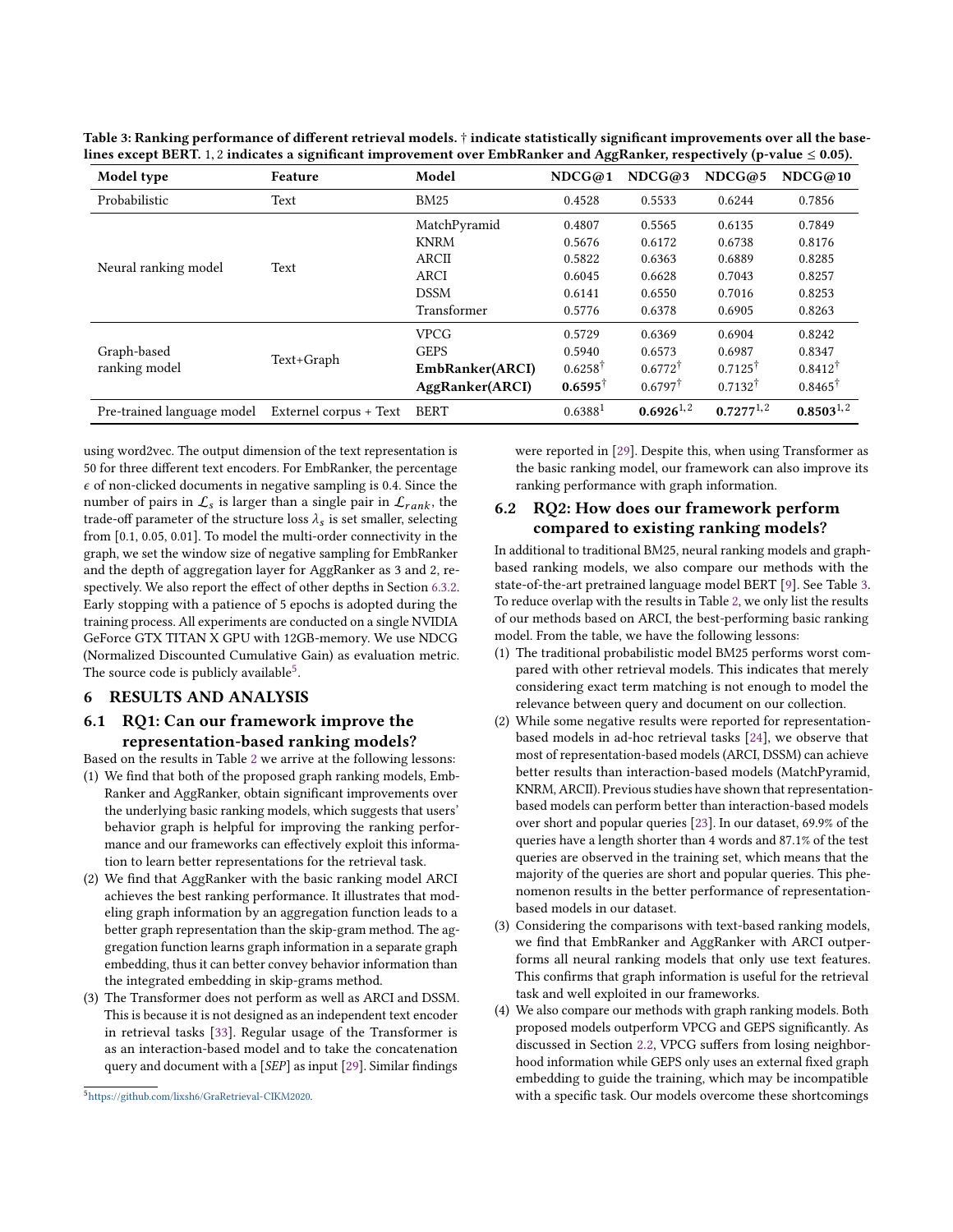| Model type                   | Feature                | Model           | NDCG@1              | NDCG@3             | NDCG@5             | NDCG@10            |
|------------------------------|------------------------|-----------------|---------------------|--------------------|--------------------|--------------------|
| Probabilistic                | Text                   | <b>BM25</b>     | 0.4528              | 0.5533             | 0.6244             | 0.7856             |
| Neural ranking model         | Text                   | MatchPyramid    | 0.4807              | 0.5565             | 0.6135             | 0.7849             |
|                              |                        | <b>KNRM</b>     | 0.5676              | 0.6172             | 0.6738             | 0.8176             |
|                              |                        | <b>ARCII</b>    | 0.5822              | 0.6363             | 0.6889             | 0.8285             |
|                              |                        | <b>ARCI</b>     | 0.6045              | 0.6628             | 0.7043             | 0.8257             |
|                              |                        | <b>DSSM</b>     | 0.6141              | 0.6550             | 0.7016             | 0.8253             |
|                              |                        | Transformer     | 0.5776              | 0.6378             | 0.6905             | 0.8263             |
| Graph-based<br>ranking model | Text+Graph             | <b>VPCG</b>     | 0.5729              | 0.6369             | 0.6904             | 0.8242             |
|                              |                        | <b>GEPS</b>     | 0.5940              | 0.6573             | 0.6987             | 0.8347             |
|                              |                        | EmbRanker(ARCI) | $0.6258^{\dagger}$  | $0.6772^{\dagger}$ | $0.7125^{\dagger}$ | $0.8412^{\dagger}$ |
|                              |                        | AggRanker(ARCI) | $0.6595^{\dagger}$  | $0.6797^{\dagger}$ | $0.7132^{\dagger}$ | $0.8465^{\dagger}$ |
| Pre-trained language model   | Externel corpus + Text | <b>BERT</b>     | 0.6388 <sup>1</sup> | $0.6926^{1,2}$     | $0.7277^{1,2}$     | $0.8503^{1,2}$     |

<span id="page-6-1"></span>Table 3: Ranking performance of different retrieval models. † indicate statistically significant improvements over all the baselines except BERT. <sup>1</sup>, <sup>2</sup> indicates a significant improvement over EmbRanker and AggRanker, respectively (p-value <sup>≤</sup> 0.05).

using word2vec. The output dimension of the text representation is 50 for three different text encoders. For EmbRanker, the percentage  $\epsilon$  of non-clicked documents in negative sampling is 0.4. Since the number of pairs in  $\mathcal{L}_s$  is larger than a single pair in  $\mathcal{L}_{rank}$ , the trade-off parameter of the structure loss  $\lambda_s$  is set smaller, selecting from [0.1, 0.05, 0.01]. To model the multi-order connectivity in the graph, we set the window size of negative sampling for EmbRanker and the depth of aggregation layer for AggRanker as 3 and 2, respectively. We also report the effect of other depths in Section [6.3.2.](#page-7-0) Early stopping with a patience of 5 epochs is adopted during the training process. All experiments are conducted on a single NVIDIA GeForce GTX TITAN X GPU with 12GB-memory. We use NDCG (Normalized Discounted Cumulative Gain) as evaluation metric. The source code is publicly available $5$ .

# 6 RESULTS AND ANALYSIS

# 6.1 RQ1: Can our framework improve the representation-based ranking models?

Based on the results in Table [2](#page-5-3) we arrive at the following lessons:

- (1) We find that both of the proposed graph ranking models, Emb-Ranker and AggRanker, obtain significant improvements over the underlying basic ranking models, which suggests that users' behavior graph is helpful for improving the ranking performance and our frameworks can effectively exploit this information to learn better representations for the retrieval task.
- (2) We find that AggRanker with the basic ranking model ARCI achieves the best ranking performance. It illustrates that modeling graph information by an aggregation function leads to a better graph representation than the skip-gram method. The aggregation function learns graph information in a separate graph embedding, thus it can better convey behavior information than the integrated embedding in skip-grams method.
- (3) The Transformer does not perform as well as ARCI and DSSM. This is because it is not designed as an independent text encoder in retrieval tasks [\[33\]](#page-9-29). Regular usage of the Transformer is as an interaction-based model and to take the concatenation query and document with a [SEP] as input [\[29\]](#page-9-39). Similar findings

were reported in [\[29\]](#page-9-39). Despite this, when using Transformer as the basic ranking model, our framework can also improve its ranking performance with graph information.

# 6.2 RQ2: How does our framework perform compared to existing ranking models?

In additional to traditional BM25, neural ranking models and graphbased ranking models, we also compare our methods with the state-of-the-art pretrained language model BERT [\[9\]](#page-9-38). See Table [3.](#page-6-1) To reduce overlap with the results in Table [2,](#page-5-3) we only list the results of our methods based on ARCI, the best-performing basic ranking model. From the table, we have the following lessons:

- (1) The traditional probabilistic model BM25 performs worst compared with other retrieval models. This indicates that merely considering exact term matching is not enough to model the relevance between query and document on our collection.
- (2) While some negative results were reported for representationbased models in ad-hoc retrieval tasks [\[24\]](#page-9-40), we observe that most of representation-based models (ARCI, DSSM) can achieve better results than interaction-based models (MatchPyramid, KNRM, ARCII). Previous studies have shown that representationbased models can perform better than interaction-based models over short and popular queries [\[23\]](#page-9-41). In our dataset, 69.9% of the queries have a length shorter than 4 words and 87.1% of the test queries are observed in the training set, which means that the majority of the queries are short and popular queries. This phenomenon results in the better performance of representationbased models in our dataset.
- (3) Considering the comparisons with text-based ranking models, we find that EmbRanker and AggRanker with ARCI outperforms all neural ranking models that only use text features. This confirms that graph information is useful for the retrieval task and well exploited in our frameworks.
- (4) We also compare our methods with graph ranking models. Both proposed models outperform VPCG and GEPS significantly. As discussed in Section [2.2,](#page-1-0) VPCG suffers from losing neighborhood information while GEPS only uses an external fixed graph embedding to guide the training, which may be incompatible with a specific task. Our models overcome these shortcomings

<span id="page-6-0"></span><sup>5</sup>[https://github.com/lixsh6/GraRetrieval-CIKM2020.](https://github.com/lixsh6/GraRetrieval-CIKM2020)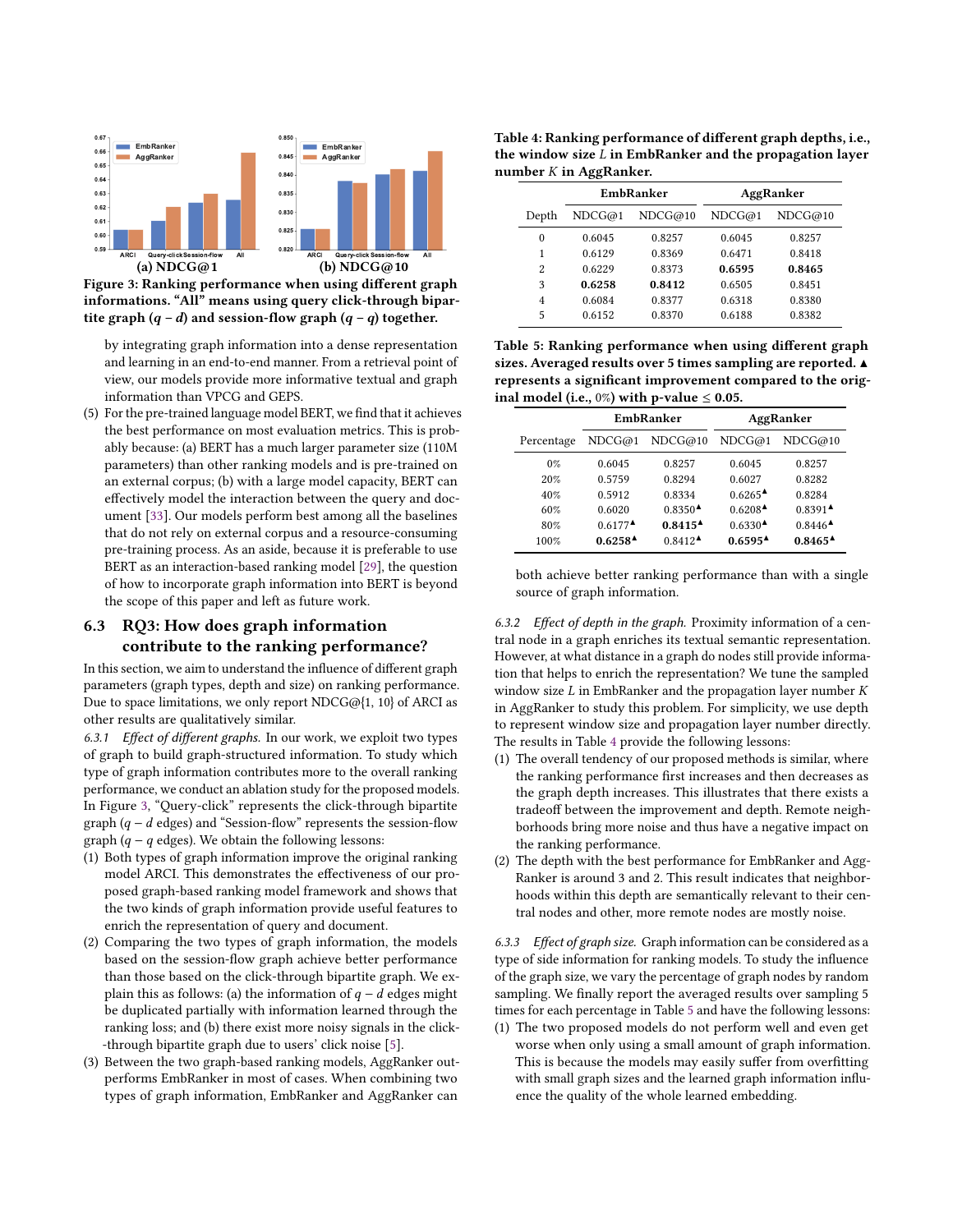<span id="page-7-1"></span>

Figure 3: Ranking performance when using different graph informations. "All" means using query click-through bipartite graph  $(q - d)$  and session-flow graph  $(q - q)$  together.

by integrating graph information into a dense representation and learning in an end-to-end manner. From a retrieval point of view, our models provide more informative textual and graph information than VPCG and GEPS.

(5) For the pre-trained language model BERT, we find that it achieves the best performance on most evaluation metrics. This is probably because: (a) BERT has a much larger parameter size (110M parameters) than other ranking models and is pre-trained on an external corpus; (b) with a large model capacity, BERT can effectively model the interaction between the query and document [\[33\]](#page-9-29). Our models perform best among all the baselines that do not rely on external corpus and a resource-consuming pre-training process. As an aside, because it is preferable to use BERT as an interaction-based ranking model [\[29\]](#page-9-39), the question of how to incorporate graph information into BERT is beyond the scope of this paper and left as future work.

# 6.3 RQ3: How does graph information contribute to the ranking performance?

In this section, we aim to understand the influence of different graph parameters (graph types, depth and size) on ranking performance. Due to space limitations, we only report NDCG@{1, 10} of ARCI as other results are qualitatively similar.

6.3.1 Effect of different graphs. In our work, we exploit two types of graph to build graph-structured information. To study which type of graph information contributes more to the overall ranking performance, we conduct an ablation study for the proposed models. In Figure [3,](#page-7-1) "Query-click" represents the click-through bipartite graph  $(q - d \text{ edges})$  and "Session-flow" represents the session-flow graph ( $q - q$  edges). We obtain the following lessons:

- (1) Both types of graph information improve the original ranking model ARCI. This demonstrates the effectiveness of our proposed graph-based ranking model framework and shows that the two kinds of graph information provide useful features to enrich the representation of query and document.
- (2) Comparing the two types of graph information, the models based on the session-flow graph achieve better performance than those based on the click-through bipartite graph. We explain this as follows: (a) the information of  $q - d$  edges might be duplicated partially with information learned through the ranking loss; and (b) there exist more noisy signals in the click- -through bipartite graph due to users' click noise [\[5\]](#page-9-42).
- (3) Between the two graph-based ranking models, AggRanker outperforms EmbRanker in most of cases. When combining two types of graph information, EmbRanker and AggRanker can

<span id="page-7-2"></span>Table 4: Ranking performance of different graph depths, i.e., the window size  $L$  in EmbRanker and the propagation layer number  $K$  in AggRanker.

|                          | EmbRanker |         | AggRanker |         |
|--------------------------|-----------|---------|-----------|---------|
| Depth                    | NDCG@1    | NDCG@10 | NDCG@1    | NDCG@10 |
| $\theta$                 | 0.6045    | 0.8257  | 0.6045    | 0.8257  |
| 1                        | 0.6129    | 0.8369  | 0.6471    | 0.8418  |
| $\overline{\mathcal{L}}$ | 0.6229    | 0.8373  | 0.6595    | 0.8465  |
| 3                        | 0.6258    | 0.8412  | 0.6505    | 0.8451  |
| 4                        | 0.6084    | 0.8377  | 0.6318    | 0.8380  |
| 5                        | 0.6152    | 0.8370  | 0.6188    | 0.8382  |

<span id="page-7-3"></span>Table 5: Ranking performance when using different graph sizes. Averaged results over 5 times sampling are reported. ▲ represents a significant improvement compared to the original model (i.e.,  $0\%$ ) with p-value  $\leq 0.05$ .

|            | EmbRanker                                  |                                            | AggRanker                       |                                            |
|------------|--------------------------------------------|--------------------------------------------|---------------------------------|--------------------------------------------|
| Percentage | NDCG@1                                     | NDCG@10                                    | NDCG@1                          | NDCG@10                                    |
| $0\%$      | 0.6045                                     | 0.8257                                     | 0.6045                          | 0.8257                                     |
| 20%        | 0.5759                                     | 0.8294                                     | 0.6027                          | 0.8282                                     |
| 40%        | 0.5912                                     | 0.8334                                     | $0.6265^{\textstyle \triangle}$ | 0.8284                                     |
| 60%        | 0.6020                                     | $0.8350^{\textstyle \triangle}$            | $0.6208^{\textstyle \triangle}$ | $0.8391$ <sup><math>\triangle</math></sup> |
| 80%        | $0.6177^{\textstyle \triangle}$            | $0.8415^{\textstyle \Delta}$               | $0.6330^{\AA}$                  | $0.8446^{\triangle}$                       |
| 100%       | $0.6258$ <sup><math>\triangle</math></sup> | $0.8412$ <sup><math>\triangle</math></sup> | $0.6595^{\textstyle \Delta}$    | $0.8465^{\textstyle \blacktriangle}$       |

both achieve better ranking performance than with a single source of graph information.

<span id="page-7-0"></span>6.3.2 Effect of depth in the graph. Proximity information of a central node in a graph enriches its textual semantic representation. However, at what distance in a graph do nodes still provide information that helps to enrich the representation? We tune the sampled window size  $L$  in EmbRanker and the propagation layer number  $K$ in AggRanker to study this problem. For simplicity, we use depth to represent window size and propagation layer number directly. The results in Table [4](#page-7-2) provide the following lessons:

- (1) The overall tendency of our proposed methods is similar, where the ranking performance first increases and then decreases as the graph depth increases. This illustrates that there exists a tradeoff between the improvement and depth. Remote neighborhoods bring more noise and thus have a negative impact on the ranking performance.
- (2) The depth with the best performance for EmbRanker and Agg-Ranker is around 3 and 2. This result indicates that neighborhoods within this depth are semantically relevant to their central nodes and other, more remote nodes are mostly noise.

6.3.3 Effect of graph size. Graph information can be considered as a type of side information for ranking models. To study the influence of the graph size, we vary the percentage of graph nodes by random sampling. We finally report the averaged results over sampling 5 times for each percentage in Table [5](#page-7-3) and have the following lessons:

(1) The two proposed models do not perform well and even get worse when only using a small amount of graph information. This is because the models may easily suffer from overfitting with small graph sizes and the learned graph information influence the quality of the whole learned embedding.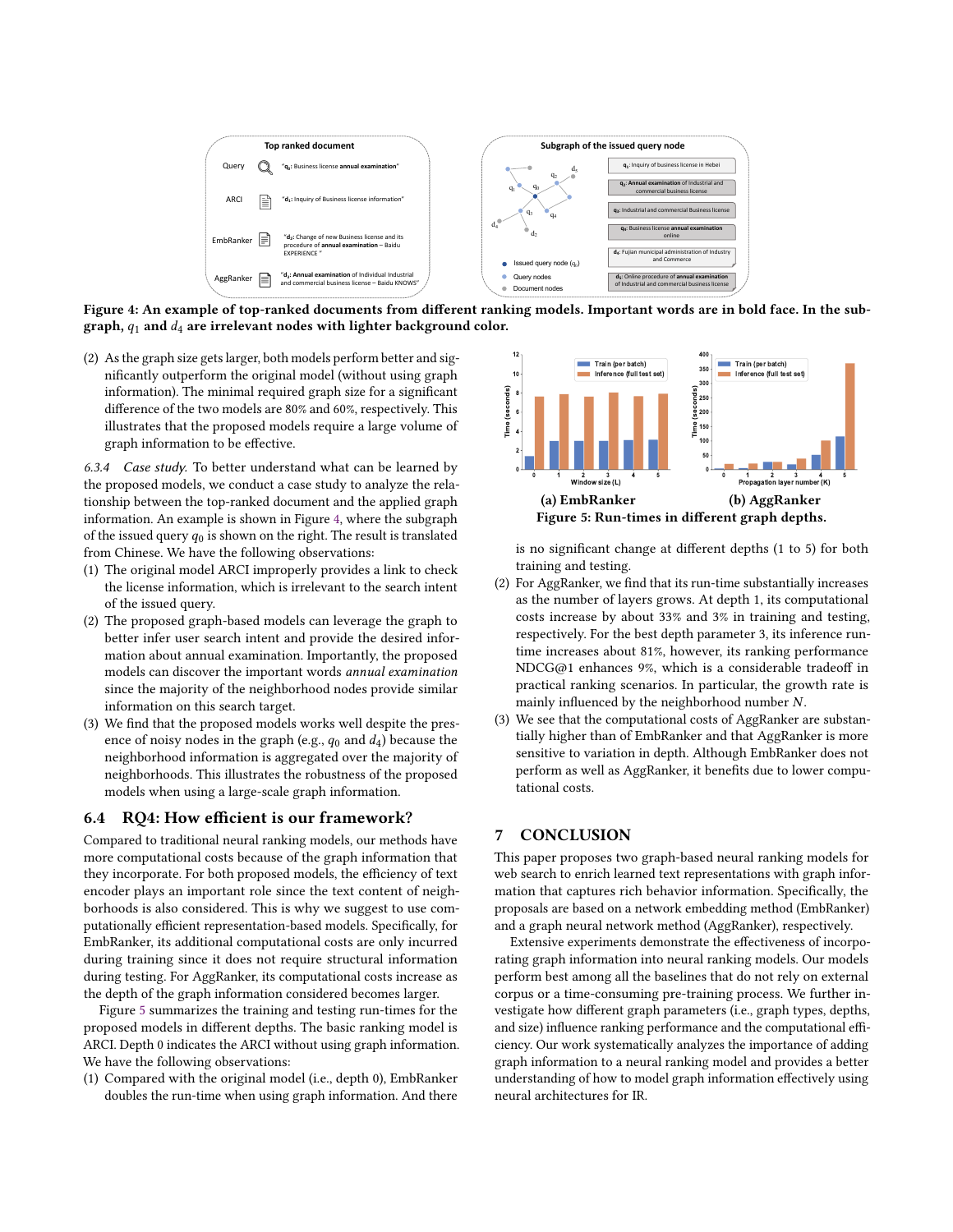<span id="page-8-1"></span>

Figure 4: An example of top-ranked documents from different ranking models. Important words are in bold face. In the subgraph,  $q_1$  and  $d_4$  are irrelevant nodes with lighter background color.

(2) As the graph size gets larger, both models perform better and significantly outperform the original model (without using graph information). The minimal required graph size for a significant difference of the two models are 80% and 60%, respectively. This illustrates that the proposed models require a large volume of graph information to be effective.

6.3.4 Case study. To better understand what can be learned by the proposed models, we conduct a case study to analyze the relationship between the top-ranked document and the applied graph information. An example is shown in Figure [4,](#page-8-1) where the subgraph of the issued query  $q_0$  is shown on the right. The result is translated from Chinese. We have the following observations:

- (1) The original model ARCI improperly provides a link to check the license information, which is irrelevant to the search intent of the issued query.
- (2) The proposed graph-based models can leverage the graph to better infer user search intent and provide the desired information about annual examination. Importantly, the proposed models can discover the important words annual examination since the majority of the neighborhood nodes provide similar information on this search target.
- (3) We find that the proposed models works well despite the presence of noisy nodes in the graph (e.g.,  $q_0$  and  $d_4$ ) because the neighborhood information is aggregated over the majority of neighborhoods. This illustrates the robustness of the proposed models when using a large-scale graph information.

#### <span id="page-8-0"></span>6.4 RQ4: How efficient is our framework?

Compared to traditional neural ranking models, our methods have more computational costs because of the graph information that they incorporate. For both proposed models, the efficiency of text encoder plays an important role since the text content of neighborhoods is also considered. This is why we suggest to use computationally efficient representation-based models. Specifically, for EmbRanker, its additional computational costs are only incurred during training since it does not require structural information during testing. For AggRanker, its computational costs increase as the depth of the graph information considered becomes larger.

Figure [5](#page-8-2) summarizes the training and testing run-times for the proposed models in different depths. The basic ranking model is ARCI. Depth 0 indicates the ARCI without using graph information. We have the following observations:

(1) Compared with the original model (i.e., depth 0), EmbRanker doubles the run-time when using graph information. And there

<span id="page-8-2"></span>

is no significant change at different depths (1 to 5) for both training and testing.

- (2) For AggRanker, we find that its run-time substantially increases as the number of layers grows. At depth 1, its computational costs increase by about 33% and 3% in training and testing, respectively. For the best depth parameter 3, its inference runtime increases about 81%, however, its ranking performance NDCG@1 enhances 9%, which is a considerable tradeoff in practical ranking scenarios. In particular, the growth rate is mainly influenced by the neighborhood number N.
- (3) We see that the computational costs of AggRanker are substantially higher than of EmbRanker and that AggRanker is more sensitive to variation in depth. Although EmbRanker does not perform as well as AggRanker, it benefits due to lower computational costs.

# 7 CONCLUSION

This paper proposes two graph-based neural ranking models for web search to enrich learned text representations with graph information that captures rich behavior information. Specifically, the proposals are based on a network embedding method (EmbRanker) and a graph neural network method (AggRanker), respectively.

Extensive experiments demonstrate the effectiveness of incorporating graph information into neural ranking models. Our models perform best among all the baselines that do not rely on external corpus or a time-consuming pre-training process. We further investigate how different graph parameters (i.e., graph types, depths, and size) influence ranking performance and the computational efficiency. Our work systematically analyzes the importance of adding graph information to a neural ranking model and provides a better understanding of how to model graph information effectively using neural architectures for IR.